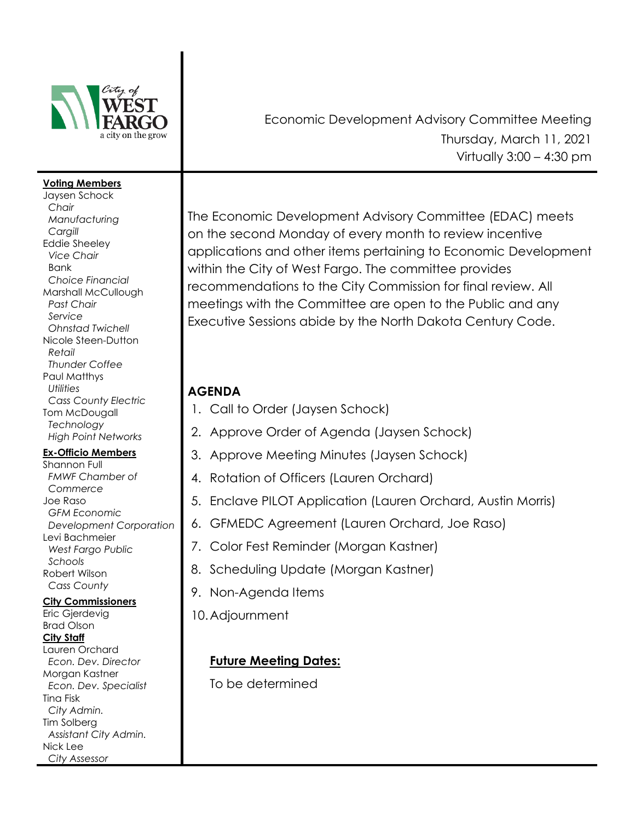

#### **Voting Members**

Jaysen Schock *Chair Manufacturing Cargill*  Eddie Sheeley *Vice Chair* Bank  *Choice Financial*  Marshall McCullough *Past Chair Service Ohnstad Twichell*  Nicole Steen-Dutton  *Retail Thunder Coffee* Paul Matthys *Utilities Cass County Electric* Tom McDougall  *Technology High Point Networks*

### **Ex-Officio Members**

Shannon Full  *FMWF Chamber of Commerce* Joe Raso *GFM Economic Development Corporation* Levi Bachmeier  *West Fargo Public Schools*  Robert Wilson  *Cass County* 

### **City Commissioners**

Eric Gjerdevig Brad Olson **City Staff** Lauren Orchard  *Econ. Dev. Director*  Morgan Kastner  *Econ. Dev. Specialist* Tina Fisk *City Admin.* Tim Solberg *Assistant City Admin.* Nick Lee  *City Assessor*

Economic Development Advisory Committee Meeting Thursday, March 11, 2021 Virtually  $3:00 - 4:30$  pm

The Economic Development Advisory Committee (EDAC) meets on the second Monday of every month to review incentive applications and other items pertaining to Economic Development within the City of West Fargo. The committee provides recommendations to the City Commission for final review. All meetings with the Committee are open to the Public and any Executive Sessions abide by the North Dakota Century Code.

## **AGENDA**

- 1. Call to Order (Jaysen Schock)
- 2. Approve Order of Agenda (Jaysen Schock)
- 3. Approve Meeting Minutes (Jaysen Schock)
- 4. Rotation of Officers (Lauren Orchard)
- 5. Enclave PILOT Application (Lauren Orchard, Austin Morris)
- 6. GFMEDC Agreement (Lauren Orchard, Joe Raso)
- 7. Color Fest Reminder (Morgan Kastner)
- 8. Scheduling Update (Morgan Kastner)
- 9. Non-Agenda Items
- 10.Adjournment

# **Future Meeting Dates:**

To be determined